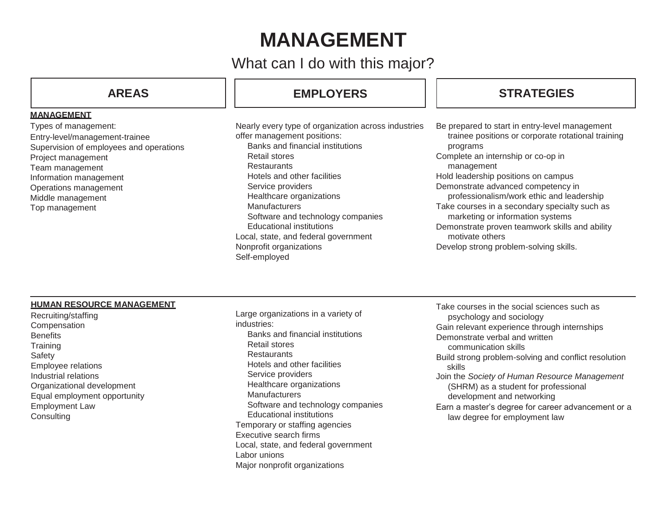# **MANAGEMENT**

What can I do with this major?

### **MANAGEMENT**

Types of management: Entry-level/management-trainee Supervision of employees and operations Project management Team management Information management Operations management Middle management Top management

# **AREAS EMPLOYERS STRATEGIES**

Nearly every type of organization across industries offer management positions: Banks and financial institutions Retail stores **Restaurants** Hotels and other facilities Service providers Healthcare organizations **Manufacturers** Software and technology companies Educational institutions Local, state, and federal government Nonprofit organizations Self-employed

Be prepared to start in entry-level management trainee positions or corporate rotational training programs Complete an internship or co-op in management Hold leadership positions on campus Demonstrate advanced competency in professionalism/work ethic and leadership Take courses in a secondary specialty such as marketing or information systems Demonstrate proven teamwork skills and ability motivate others Develop strong problem-solving skills.

### **HUMAN RESOURCE MANAGEMENT**

Recruiting/staffing **Compensation Benefits Training** Safety Employee relations Industrial relations Organizational development Equal employment opportunity Employment Law **Consulting** 

Large organizations in a variety of industries: Banks and financial institutions Retail stores **Restaurants** Hotels and other facilities Service providers Healthcare organizations Manufacturers Software and technology companies Educational institutions Temporary or staffing agencies Executive search firms Local, state, and federal government Labor unions

Major nonprofit organizations

Take courses in the social sciences such as psychology and sociology Gain relevant experience through internships Demonstrate verbal and written communication skills Build strong problem-solving and conflict resolution skills Join the *Society of Human Resource Management*  (SHRM) as a student for professional development and networking Earn a master's degree for career advancement or a law degree for employment law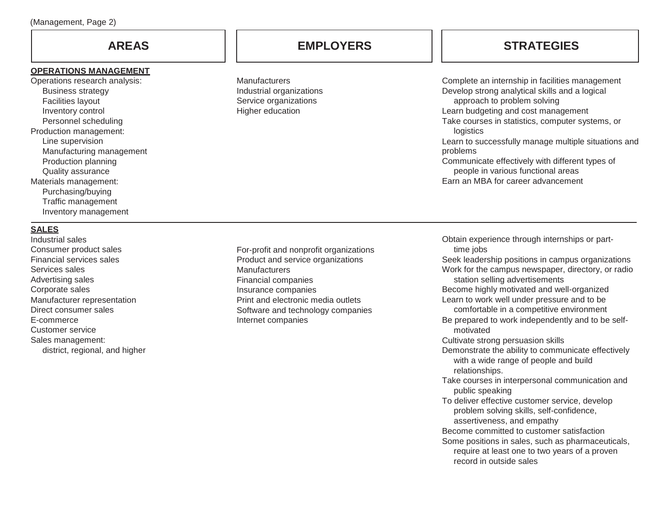### **OPERATIONS MANAGEMENT**

Operations research analysis: Business strategy Facilities layout Inventory control Personnel scheduling Production management: Line supervision Manufacturing management Production planning Quality assurance Materials management: Purchasing/buying Traffic management Inventory management

# **AREAS EMPLOYERS STRATEGIES**

**Manufacturers** Industrial organizations Service organizations Higher education

Complete an internship in facilities management Develop strong analytical skills and a logical approach to problem solving Learn budgeting and cost management Take courses in statistics, computer systems, or logistics Learn to successfully manage multiple situations and problems Communicate effectively with different types of people in various functional areas Earn an MBA for career advancement

# **SALES**

Industrial sales Consumer product sales Financial services sales Services sales Advertising sales Corporate sales Manufacturer representation Direct consumer sales E-commerce Customer service Sales management: district, regional, and higher

For-profit and nonprofit organizations Product and service organizations **Manufacturers** Financial companies Insurance companies Print and electronic media outlets Software and technology companies Internet companies

Obtain experience through internships or parttime jobs Seek leadership positions in campus organizations Work for the campus newspaper, directory, or radio station selling advertisements Become highly motivated and well-organized Learn to work well under pressure and to be comfortable in a competitive environment Be prepared to work independently and to be selfmotivated Cultivate strong persuasion skills Demonstrate the ability to communicate effectively with a wide range of people and build relationships. Take courses in interpersonal communication and public speaking To deliver effective customer service, develop problem solving skills, self-confidence, assertiveness, and empathy Become committed to customer satisfaction Some positions in sales, such as pharmaceuticals, require at least one to two years of a proven record in outside sales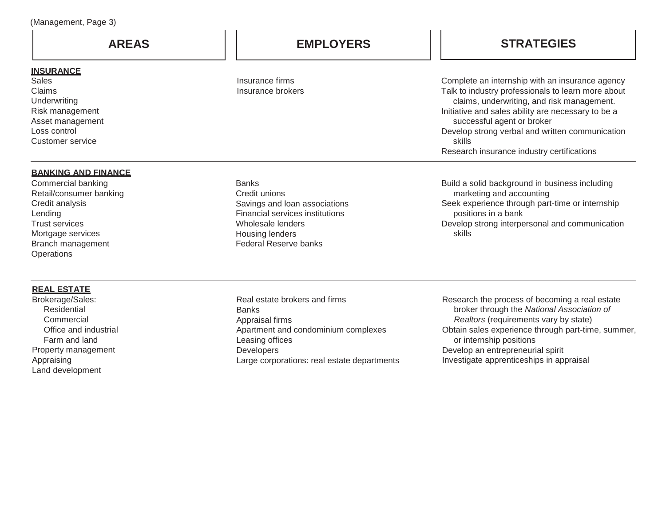## **INSURANCE**

Sales Claims **Underwriting** Risk management Asset management Loss control Customer service

# **BANKING AND FINANCE**

Commercial banking Retail/consumer banking Credit analysis **Lending** Trust services Mortgage services Branch management **Operations** 

# **REAL ESTATE**

Brokerage/Sales: Residential **Commercial** Office and industrial Farm and land Property management Appraising Land development

Insurance firms Insurance brokers

Savings and loan associations Financial services institutions

Wholesale lenders Housing lenders Federal Reserve banks

**Banks** Credit unions

**AREAS EMPLOYERS STRATEGIES**

Complete an internship with an insurance agency Talk to industry professionals to learn more about claims, underwriting, and risk management. Initiative and sales ability are necessary to be a successful agent or broker Develop strong verbal and written communication skills Research insurance industry certifications

Build a solid background in business including marketing and accounting Seek experience through part-time or internship positions in a bank Develop strong interpersonal and communication skills

Real estate brokers and firms **Banks** Appraisal firms Apartment and condominium complexes Leasing offices **Developers** Large corporations: real estate departments

Research the process of becoming a real estate broker through the *National Association of Realtors* (requirements vary by state) Obtain sales experience through part-time, summer, or internship positions Develop an entrepreneurial spirit Investigate apprenticeships in appraisal